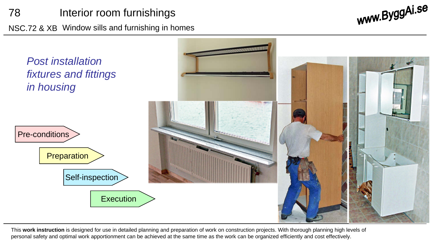## 78 Interior room furnishings

NSC.72 & XB Window sills and furnishing in homes

www.ByggAi.se



This **work instruction** is designed for use in detailed planning and preparation of work on construction projects. With thorough planning high levels of personal safety and optimal work apportionment can be achieved at the same time as the work can be organized efficiently and cost effectively.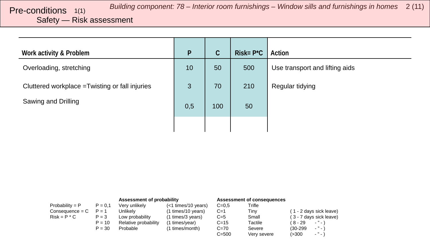#### <span id="page-1-0"></span>Safety — Risk assessment

| Work activity & Problem                         | P   | $\mathsf C$ | $Risk = P^*C$ | Action                         |
|-------------------------------------------------|-----|-------------|---------------|--------------------------------|
| Overloading, stretching                         | 10  | 50          | 500           | Use transport and lifting aids |
| Cluttered workplace = Twisting or fall injuries | 3   | 70          | 210           | Regular tidying                |
| Sawing and Drilling                             | 0,5 | 100         | 50            |                                |
|                                                 |     |             |               |                                |

|                   |           | Assessment of probability |                     |           | Assessment of consequences |                              |
|-------------------|-----------|---------------------------|---------------------|-----------|----------------------------|------------------------------|
| Probability = $P$ | $P = 0.1$ | Very unlikely             | (<1 times/10 years) | $C=0.5$   | Trifle                     |                              |
| $Consequence = C$ | $P = 1$   | Unlikelv                  | (1 times/10 years)  | $C=1$     | Tinv                       | (1 - 2 days sick leave)      |
| $Risk = P * C$    | $P = 3$   | Low probability           | (1 times/3 years)   | $C=5$     | Small                      | (3 - 7 days sick leave)      |
|                   | $P = 10$  | Relative probability      | (1 times/year)      | $C = 15$  | Tactile                    | (8-29<br>$\cdot$ " $\cdot$ ) |
|                   | $P = 30$  | Probable                  | (1 times/month)     | $C = 70$  | Severe                     | $-$ " $-$ )<br>$(30-299)$    |
|                   |           |                           |                     | $C = 500$ | Very severe                | $ "$ $ )$<br>(>300           |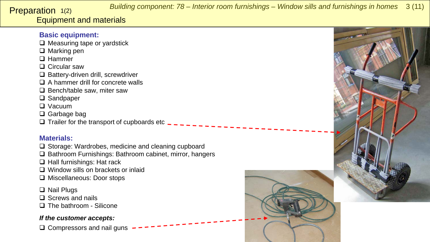*Building component: 78 – Interior room furnishings – Window sills and furnishings in homes* 3 (11)

#### <span id="page-2-0"></span>Equipment and materials Preparation 1(2)

#### **Basic equipment:**

- $\Box$  Measuring tape or yardstick
- $\Box$  Marking pen
- □ Hammer
- □ Circular saw
- $\Box$  Battery-driven drill, screwdriver
- $\Box$  A hammer drill for concrete walls
- $\Box$  Bench/table saw, miter saw
- □ Sandpaper
- □ Vacuum
- □ Garbage bag
- $\Box$  Trailer for the transport of cupboards etc  $\Box$

#### **Materials:**

- $\square$  Storage: Wardrobes, medicine and cleaning cupboard
- □ Bathroom Furnishings: Bathroom cabinet, mirror, hangers
- $\Box$  Hall furnishings: Hat rack
- □ Window sills on brackets or inlaid
- □ Miscellaneous: Door stops
- □ Nail Plugs
- $\Box$  Screws and nails
- □ The bathroom Silicone

#### *If the customer accepts:*

 $\Box$  Compressors and nail guns



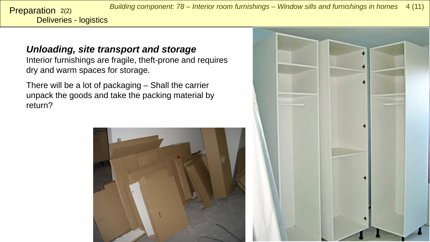*Building component: 78 – Interior room furnishings – Window sills and furnishings in homes* 4 (11)

Deliveries - logistics Preparation 2(2)

> *Unloading, site transport and storage*  Interior furnishings are fragile, theft-prone and requires dry and warm spaces for storage.

There will be a lot of packaging – Shall the carrier unpack the goods and take the packing material by return?



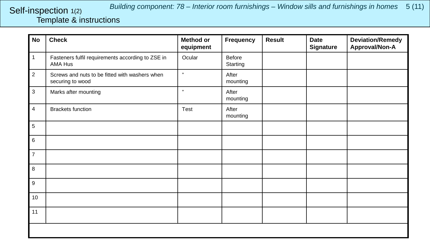### <span id="page-4-0"></span>Template & instructions Self-inspection 1(2)

| <b>No</b>      | <b>Check</b>                                                       | <b>Method or</b><br>equipment | <b>Frequency</b>   | <b>Result</b> | <b>Date</b><br><b>Signature</b> | <b>Deviation/Remedy</b><br>Approval/Non-A |
|----------------|--------------------------------------------------------------------|-------------------------------|--------------------|---------------|---------------------------------|-------------------------------------------|
| $\mathbf{1}$   | Fasteners fulfil requirements according to ZSE in<br>AMA Hus       | Ocular                        | Before<br>Starting |               |                                 |                                           |
| $\overline{2}$ | Screws and nuts to be fitted with washers when<br>securing to wood | $\pmb{\mathfrak{y}}$          | After<br>mounting  |               |                                 |                                           |
| $\mathbf 3$    | Marks after mounting                                               | $\mathbf{y}$                  | After<br>mounting  |               |                                 |                                           |
| $\overline{4}$ | <b>Brackets function</b>                                           | Test                          | After<br>mounting  |               |                                 |                                           |
| 5              |                                                                    |                               |                    |               |                                 |                                           |
| 6              |                                                                    |                               |                    |               |                                 |                                           |
| $\overline{7}$ |                                                                    |                               |                    |               |                                 |                                           |
| 8              |                                                                    |                               |                    |               |                                 |                                           |
| 9              |                                                                    |                               |                    |               |                                 |                                           |
| 10             |                                                                    |                               |                    |               |                                 |                                           |
| 11             |                                                                    |                               |                    |               |                                 |                                           |
|                |                                                                    |                               |                    |               |                                 |                                           |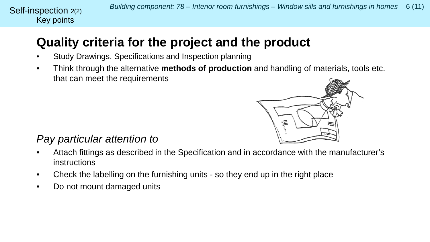## **Quality criteria for the project and the product**

- Study Drawings, Specifications and Inspection planning
- Think through the alternative **methods of production** and handling of materials, tools etc. that can meet the requirements



## *Pay particular attention to*

Key points

Self-inspection 2(2)

- Attach fittings as described in the Specification and in accordance with the manufacturer's instructions
- Check the labelling on the furnishing units so they end up in the right place
- Do not mount damaged units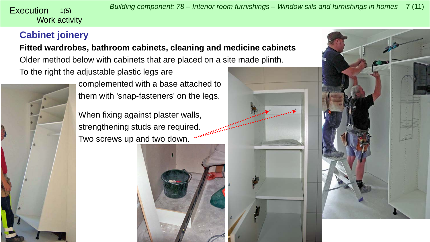<span id="page-6-0"></span>Work activity 1(5)

## **Cabinet joinery**

**Fitted wardrobes, bathroom cabinets, cleaning and medicine cabinets** Older method below with cabinets that are placed on a site made plinth.

To the right the adjustable plastic legs are



complemented with a base attached to them with 'snap-fasteners' on the legs.

When fixing against plaster walls, strengthening studs are required. Two screws up and two down.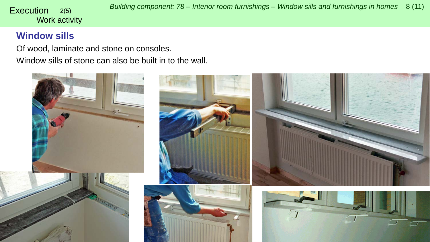Work activity

## **Window sills**

Of wood, laminate and stone on consoles.

Window sills of stone can also be built in to the wall.

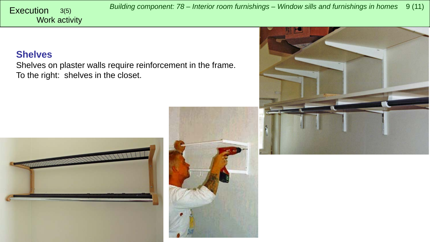*Building component: 78 – Interior room furnishings – Window sills and furnishings in homes* <sup>9</sup> (11) Execution 3(5)

#### **Shelves**

Work activity

Shelves on plaster walls require reinforcement in the frame. To the right: shelves in the closet.





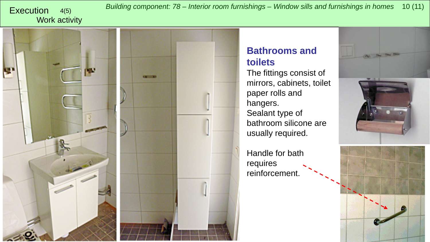# Work activity

*Building component: 78 – Interior room furnishings – Window sills and furnishings in homes* <sup>10</sup> (11) Execution 4(5)



### **Bathrooms and toilets**

The fittings consist of mirrors, cabinets, toilet paper rolls and hangers. Sealant type of bathroom silicone are usually required.

Handle for bath requires reinforcement.